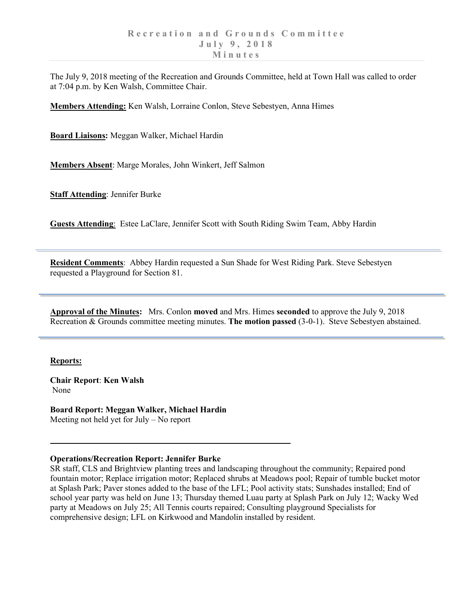The July 9, 2018 meeting of the Recreation and Grounds Committee, held at Town Hall was called to order at 7:04 p.m. by Ken Walsh, Committee Chair.

**Members Attending:** Ken Walsh, Lorraine Conlon, Steve Sebestyen, Anna Himes

**Board Liaisons:** Meggan Walker, Michael Hardin

**Members Absent**: Marge Morales, John Winkert, Jeff Salmon

**Staff Attending**: Jennifer Burke

**Guests Attending**: Estee LaClare, Jennifer Scott with South Riding Swim Team, Abby Hardin

**Resident Comments**: Abbey Hardin requested a Sun Shade for West Riding Park. Steve Sebestyen requested a Playground for Section 81.

**Approval of the Minutes:** Mrs. Conlon **moved** and Mrs. Himes **seconded** to approve the July 9, 2018 Recreation & Grounds committee meeting minutes. **The motion passed** (3-0-1). Steve Sebestyen abstained.

## **Reports:**

**Chair Report**: **Ken Walsh** None

**Board Report: Meggan Walker, Michael Hardin** Meeting not held yet for July – No report

## **Operations/Recreation Report: Jennifer Burke**

SR staff, CLS and Brightview planting trees and landscaping throughout the community; Repaired pond fountain motor; Replace irrigation motor; Replaced shrubs at Meadows pool; Repair of tumble bucket motor at Splash Park; Paver stones added to the base of the LFL; Pool activity stats; Sunshades installed; End of school year party was held on June 13; Thursday themed Luau party at Splash Park on July 12; Wacky Wed party at Meadows on July 25; All Tennis courts repaired; Consulting playground Specialists for comprehensive design; LFL on Kirkwood and Mandolin installed by resident.